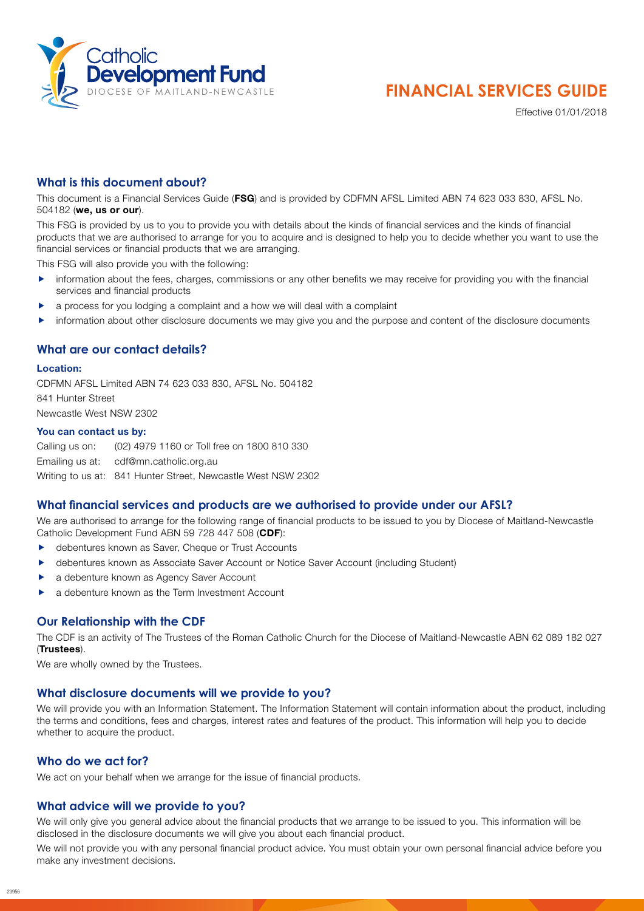

# **FINANCIAL SERVICES GUIDE**

Effective 01/01/2018

# **What is this document about?**

This document is a Financial Services Guide (FSG) and is provided by CDFMN AFSL Limited ABN 74 623 033 830, AFSL No. 504182 (we, us or our).

This FSG is provided by us to you to provide you with details about the kinds of financial services and the kinds of financial products that we are authorised to arrange for you to acquire and is designed to help you to decide whether you want to use the financial services or financial products that we are arranging.

This FSG will also provide you with the following:

- information about the fees, charges, commissions or any other benefits we may receive for providing you with the financial services and financial products
- a process for you lodging a complaint and a how we will deal with a complaint
- information about other disclosure documents we may give you and the purpose and content of the disclosure documents

## **What are our contact details?**

#### Location:

CDFMN AFSL Limited ABN 74 623 033 830, AFSL No. 504182 841 Hunter Street Newcastle West NSW 2302

#### You can contact us by:

Calling us on: (02) 4979 1160 or Toll free on 1800 810 330 Emailing us at: cdf@mn.catholic.org.au Writing to us at: 841 Hunter Street, Newcastle West NSW 2302

## **What financial services and products are we authorised to provide under our AFSL?**

We are authorised to arrange for the following range of financial products to be issued to you by Diocese of Maitland-Newcastle Catholic Development Fund ABN 59 728 447 508 (CDF):

- **EX debentures known as Saver, Cheque or Trust Accounts**
- debentures known as Associate Saver Account or Notice Saver Account (including Student)
- a debenture known as Agency Saver Account
- a debenture known as the Term Investment Account

#### **Our Relationship with the CDF**

The CDF is an activity of The Trustees of the Roman Catholic Church for the Diocese of Maitland-Newcastle ABN 62 089 182 027 (Trustees).

We are wholly owned by the Trustees.

#### **What disclosure documents will we provide to you?**

We will provide you with an Information Statement. The Information Statement will contain information about the product, including the terms and conditions, fees and charges, interest rates and features of the product. This information will help you to decide whether to acquire the product.

#### **Who do we act for?**

We act on your behalf when we arrange for the issue of financial products.

#### **What advice will we provide to you?**

We will only give you general advice about the financial products that we arrange to be issued to you. This information will be disclosed in the disclosure documents we will give you about each financial product.

We will not provide you with any personal financial product advice. You must obtain your own personal financial advice before you make any investment decisions.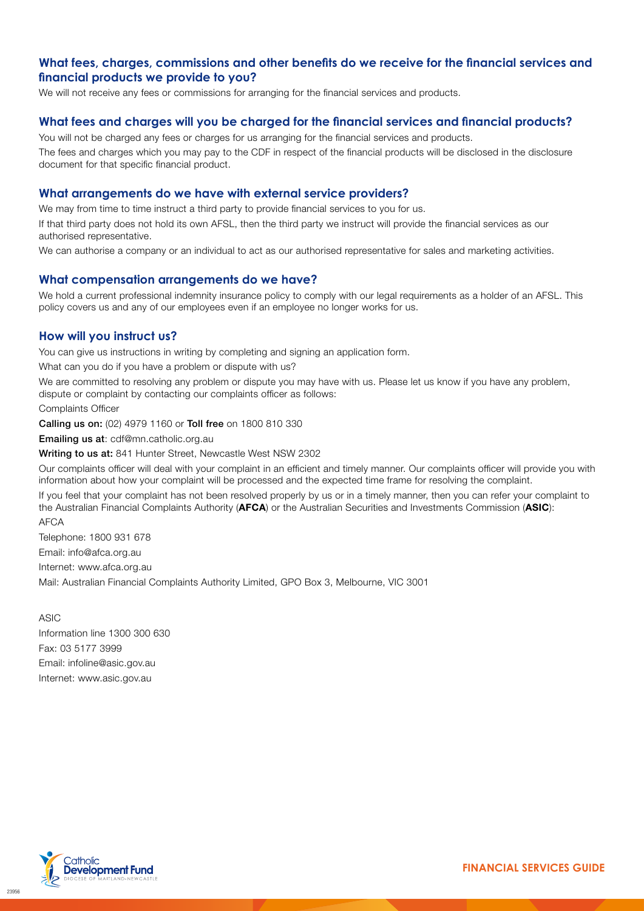# **What fees, charges, commissions and other benefits do we receive for the financial services and financial products we provide to you?**

We will not receive any fees or commissions for arranging for the financial services and products.

## **What fees and charges will you be charged for the financial services and financial products?**

You will not be charged any fees or charges for us arranging for the financial services and products. The fees and charges which you may pay to the CDF in respect of the financial products will be disclosed in the disclosure document for that specific financial product.

#### **What arrangements do we have with external service providers?**

We may from time to time instruct a third party to provide financial services to you for us.

If that third party does not hold its own AFSL, then the third party we instruct will provide the financial services as our authorised representative.

We can authorise a company or an individual to act as our authorised representative for sales and marketing activities.

## **What compensation arrangements do we have?**

We hold a current professional indemnity insurance policy to comply with our legal requirements as a holder of an AFSL. This policy covers us and any of our employees even if an employee no longer works for us.

## **How will you instruct us?**

You can give us instructions in writing by completing and signing an application form.

What can you do if you have a problem or dispute with us?

We are committed to resolving any problem or dispute you may have with us. Please let us know if you have any problem, dispute or complaint by contacting our complaints officer as follows:

Complaints Officer

Calling us on: (02) 4979 1160 or Toll free on 1800 810 330

Emailing us at: cdf@mn.catholic.org.au

Writing to us at: 841 Hunter Street, Newcastle West NSW 2302

Our complaints officer will deal with your complaint in an efficient and timely manner. Our complaints officer will provide you with information about how your complaint will be processed and the expected time frame for resolving the complaint.

If you feel that your complaint has not been resolved properly by us or in a timely manner, then you can refer your complaint to the Australian Financial Complaints Authority (AFCA) or the Australian Securities and Investments Commission (ASIC): AFCA

Telephone: 1800 931 678 Email: info@afca.org.au Internet: www.afca.org.au Mail: Australian Financial Complaints Authority Limited, GPO Box 3, Melbourne, VIC 3001

ASIC Information line 1300 300 630 Fax: 03 5177 3999 Email: infoline@asic.gov.au Internet: www.asic.gov.au